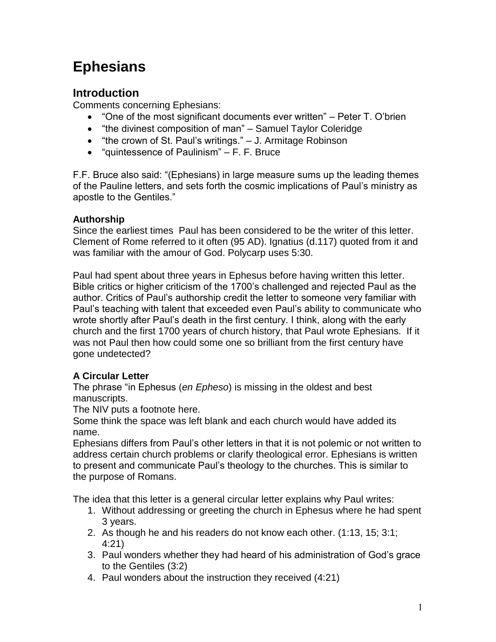# **Ephesians**

# **Introduction**

Comments concerning Ephesians:

- "One of the most significant documents ever written" Peter T. O'brien
- "the divinest composition of man" Samuel Taylor Coleridge
- "the crown of St. Paul's writings." J. Armitage Robinson
- $\bullet$  "quintessence of Paulinism" F. F. Bruce

F.F. Bruce also said: "(Ephesians) in large measure sums up the leading themes of the Pauline letters, and sets forth the cosmic implications of Paul's ministry as apostle to the Gentiles."

### **Authorship**

Since the earliest times Paul has been considered to be the writer of this letter. Clement of Rome referred to it often (95 AD). Ignatius (d.117) quoted from it and was familiar with the amour of God. Polycarp uses 5:30.

Paul had spent about three years in Ephesus before having written this letter. Bible critics or higher criticism of the 1700's challenged and rejected Paul as the author. Critics of Paul's authorship credit the letter to someone very familiar with Paul's teaching with talent that exceeded even Paul's ability to communicate who wrote shortly after Paul's death in the first century. I think, along with the early church and the first 1700 years of church history, that Paul wrote Ephesians. If it was not Paul then how could some one so brilliant from the first century have gone undetected?

## **A Circular Letter**

The phrase "in Ephesus (*en Epheso*) is missing in the oldest and best manuscripts.

The NIV puts a footnote here.

Some think the space was left blank and each church would have added its name.

Ephesians differs from Paul's other letters in that it is not polemic or not written to address certain church problems or clarify theological error. Ephesians is written to present and communicate Paul's theology to the churches. This is similar to the purpose of Romans.

The idea that this letter is a general circular letter explains why Paul writes:

- 1. Without addressing or greeting the church in Ephesus where he had spent 3 years.
- 2. As though he and his readers do not know each other. (1:13, 15; 3:1; 4:21)
- 3. Paul wonders whether they had heard of his administration of God's grace to the Gentiles (3:2)
- 4. Paul wonders about the instruction they received (4:21)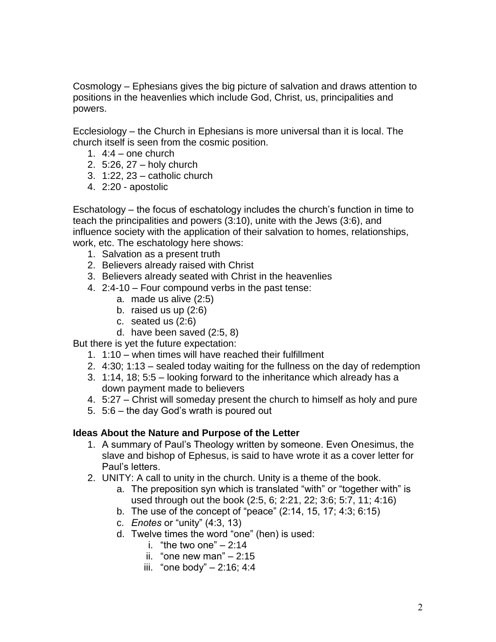Cosmology – Ephesians gives the big picture of salvation and draws attention to positions in the heavenlies which include God, Christ, us, principalities and powers.

Ecclesiology – the Church in Ephesians is more universal than it is local. The church itself is seen from the cosmic position.

- 1.  $4:4 -$  one church
- 2. 5:26, 27 holy church
- 3. 1:22, 23 catholic church
- 4. 2:20 apostolic

Eschatology – the focus of eschatology includes the church's function in time to teach the principalities and powers (3:10), unite with the Jews (3:6), and influence society with the application of their salvation to homes, relationships, work, etc. The eschatology here shows:

- 1. Salvation as a present truth
- 2. Believers already raised with Christ
- 3. Believers already seated with Christ in the heavenlies
- 4. 2:4-10 Four compound verbs in the past tense:
	- a. made us alive (2:5)
	- b. raised us up (2:6)
	- c. seated us (2:6)
	- d. have been saved (2:5, 8)

But there is yet the future expectation:

- 1. 1:10 when times will have reached their fulfillment
- 2. 4:30; 1:13 sealed today waiting for the fullness on the day of redemption
- 3. 1:14, 18; 5:5 looking forward to the inheritance which already has a down payment made to believers
- 4. 5:27 Christ will someday present the church to himself as holy and pure
- 5. 5:6 the day God's wrath is poured out

#### **Ideas About the Nature and Purpose of the Letter**

- 1. A summary of Paul's Theology written by someone. Even Onesimus, the slave and bishop of Ephesus, is said to have wrote it as a cover letter for Paul's letters.
- 2. UNITY: A call to unity in the church. Unity is a theme of the book.
	- a. The preposition syn which is translated "with" or "together with" is used through out the book (2:5, 6; 2:21, 22; 3:6; 5:7, 11; 4:16)
	- b. The use of the concept of "peace" (2:14, 15, 17; 4:3; 6:15)
	- c. *Enotes* or "unity" (4:3, 13)
	- d. Twelve times the word "one" (hen) is used:
		- i. "the two one"  $-2:14$
		- ii. "one new man"  $-2:15$
		- iii. "one body" 2:16; 4:4